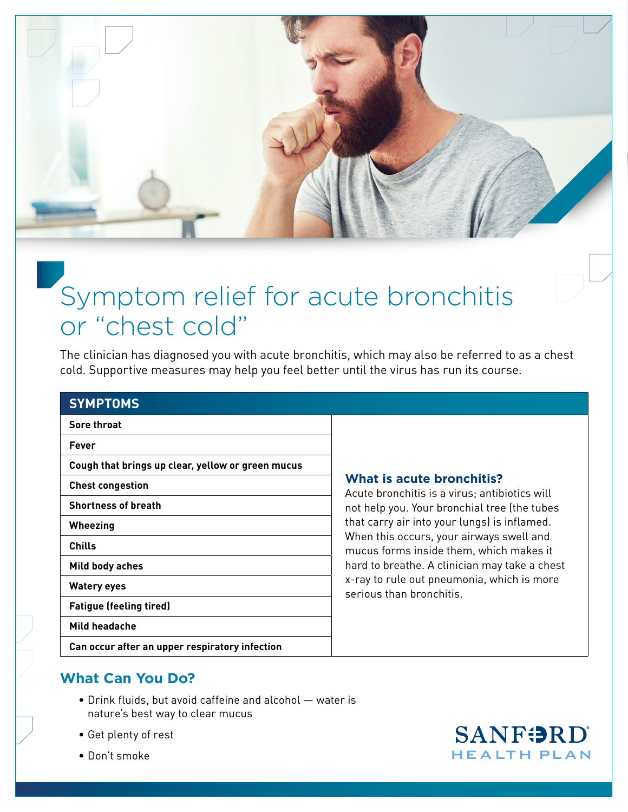

# Symptom relief for acute bronchitis or "chest cold"

The clinician has diagnosed you with acute bronchitis, which may also be referred to as a chest cold. Supportive measures may help you feel better until the virus has run its course.

#### **SYMPTOMS**

**Sore throat**

**Fever**

**Cough that brings up clear, yellow or green mucus**

**Chest congestion**

**Shortness of breath**

**Wheezing**

**Chills**

**Mild body aches** 

**Watery eyes**

**Fatigue (feeling tired)**

**Mild headache** 

### **What is acute bronchitis?**

Acute bronchitis is a virus; antibiotics will not help you. Your bronchial tree (the tubes that carry air into your lungs) is inflamed. When this occurs, your airways swell and mucus forms inside them, which makes it hard to breathe. A clinician may take a chest x-ray to rule out pneumonia, which is more serious than bronchitis.

**Can occur after an upper respiratory infection** 

## **What Can You Do?**

- Drink fluids, but avoid caffeine and alcohol water is nature's best way to clear mucus
- Get plenty of rest
- Don't smoke